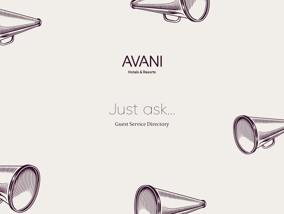





# Just ask...

Guest Service Directory